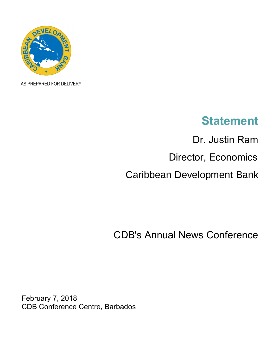

AS PREPARED FOR DELIVERY

## **Statement**

Dr. Justin Ram Director, Economics Caribbean Development Bank

CDB's Annual News Conference

February 7, 2018 CDB Conference Centre, Barbados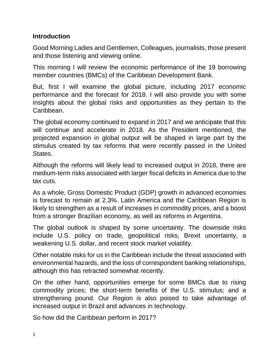## **Introduction**

Good Morning Ladies and Gentlemen, Colleagues, journalists, those present and those listening and viewing online.

This morning I will review the economic performance of the 19 borrowing member countries (BMCs) of the Caribbean Development Bank.

But, first I will examine the global picture, including 2017 economic performance and the forecast for 2018. I will also provide you with some insights about the global risks and opportunities as they pertain to the Caribbean.

The global economy continued to expand in 2017 and we anticipate that this will continue and accelerate in 2018. As the President mentioned, the projected expansion in global output will be shaped in large part by the stimulus created by tax reforms that were recently passed in the United **States** 

Although the reforms will likely lead to increased output in 2018, there are medium-term risks associated with larger fiscal deficits in America due to the tax cuts.

As a whole, Gross Domestic Product (GDP) growth in advanced economies is forecast to remain at 2.3%. Latin America and the Caribbean Region is likely to strengthen as a result of increases in commodity prices, and a boost from a stronger Brazilian economy, as well as reforms in Argentina.

The global outlook is shaped by some uncertainty. The downside risks include U.S. policy on trade, geopolitical risks, Brexit uncertainty, a weakening U.S. dollar, and recent stock market volatility.

Other notable risks for us in the Caribbean include the threat associated with environmental hazards, and the loss of correspondent banking relationships, although this has retracted somewhat recently.

On the other hand, opportunities emerge for some BMCs due to rising commodity prices; the short-term benefits of the U.S. stimulus; and a strengthening pound. Our Region is also poised to take advantage of increased output in Brazil and advances in technology.

So how did the Caribbean perform in 2017?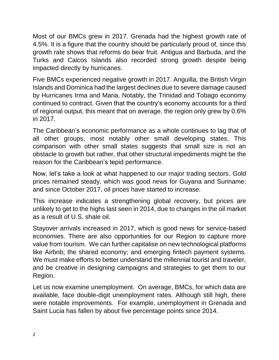Most of our BMCs grew in 2017. Grenada had the highest growth rate of 4.5%. It is a figure that the country should be particularly proud of, since this growth rate shows that reforms do bear fruit. Antigua and Barbuda, and the Turks and Caicos Islands also recorded strong growth despite being impacted directly by hurricanes.

Five BMCs experienced negative growth in 2017. Anguilla, the British Virgin Islands and Dominica had the largest declines due to severe damage caused by Hurricanes Irma and Maria. Notably, the Trinidad and Tobago economy continued to contract. Given that the country's economy accounts for a third of regional output, this meant that on average, the region only grew by 0.6% in 2017.

The Caribbean's economic performance as a whole continues to lag that of all other groups, most notably other small developing states. This comparison with other small states suggests that small size is not an obstacle to growth but rather, that other structural impediments might be the reason for the Caribbean's tepid performance.

Now, let's take a look at what happened to our major trading sectors. Gold prices remained steady, which was good news for Guyana and Suriname; and since October 2017, oil prices have started to increase.

This increase indicates a strengthening global recovery, but prices are unlikely to get to the highs last seen in 2014, due to changes in the oil market as a result of U.S. shale oil.

Stayover arrivals increased in 2017, which is good news for service-based economies. There are also opportunities for our Region to capture more value from tourism. We can further capitalise on new technological platforms like Airbnb; the shared economy; and emerging fintech payment systems. We must make efforts to better understand the millennial tourist and traveler, and be creative in designing campaigns and strategies to get them to our Region.

Let us now examine unemployment. On average, BMCs, for which data are available, face double-digit unemployment rates. Although still high, there were notable improvements. For example, unemployment in Grenada and Saint Lucia has fallen by about five percentage points since 2014.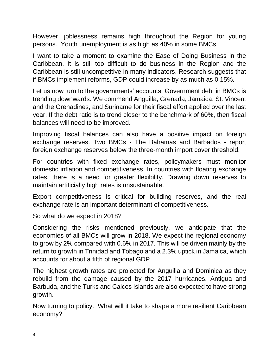However, joblessness remains high throughout the Region for young persons. Youth unemployment is as high as 40% in some BMCs.

I want to take a moment to examine the Ease of Doing Business in the Caribbean. It is still too difficult to do business in the Region and the Caribbean is still uncompetitive in many indicators. Research suggests that if BMCs implement reforms, GDP could increase by as much as 0.15%.

Let us now turn to the governments' accounts. Government debt in BMCs is trending downwards. We commend Anguilla, Grenada, Jamaica, St. Vincent and the Grenadines, and Suriname for their fiscal effort applied over the last year. If the debt ratio is to trend closer to the benchmark of 60%, then fiscal balances will need to be improved.

Improving fiscal balances can also have a positive impact on foreign exchange reserves. Two BMCs - The Bahamas and Barbados - report foreign exchange reserves below the three-month import cover threshold.

For countries with fixed exchange rates, policymakers must monitor domestic inflation and competitiveness. In countries with floating exchange rates, there is a need for greater flexibility. Drawing down reserves to maintain artificially high rates is unsustainable.

Export competitiveness is critical for building reserves, and the real exchange rate is an important determinant of competitiveness.

So what do we expect in 2018?

Considering the risks mentioned previously, we anticipate that the economies of all BMCs will grow in 2018. We expect the regional economy to grow by 2% compared with 0.6% in 2017. This will be driven mainly by the return to growth in Trinidad and Tobago and a 2.3% uptick in Jamaica, which accounts for about a fifth of regional GDP.

The highest growth rates are projected for Anguilla and Dominica as they rebuild from the damage caused by the 2017 hurricanes. Antigua and Barbuda, and the Turks and Caicos Islands are also expected to have strong growth.

Now turning to policy. What will it take to shape a more resilient Caribbean economy?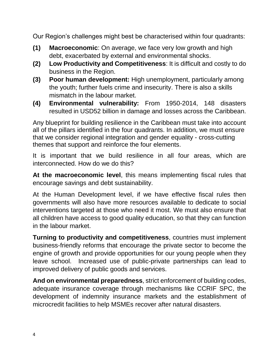Our Region's challenges might best be characterised within four quadrants:

- **(1) Macroeconomic**: On average, we face very low growth and high debt, exacerbated by external and environmental shocks.
- **(2) Low Productivity and Competitiveness**: It is difficult and costly to do business in the Region.
- **(3) Poor human development:** High unemployment, particularly among the youth; further fuels crime and insecurity. There is also a skills mismatch in the labour market.
- **(4) Environmental vulnerability:** From 1950-2014, 148 disasters resulted in USD52 billion in damage and losses across the Caribbean.

Any blueprint for building resilience in the Caribbean must take into account all of the pillars identified in the four quadrants. In addition, we must ensure that we consider regional integration and gender equality - cross-cutting themes that support and reinforce the four elements.

It is important that we build resilience in all four areas, which are interconnected. How do we do this?

**At the macroeconomic level**, this means implementing fiscal rules that encourage savings and debt sustainability.

At the Human Development level, if we have effective fiscal rules then governments will also have more resources available to dedicate to social interventions targeted at those who need it most. We must also ensure that all children have access to good quality education, so that they can function in the labour market.

**Turning to productivity and competitiveness**, countries must implement business-friendly reforms that encourage the private sector to become the engine of growth and provide opportunities for our young people when they leave school. Increased use of public-private partnerships can lead to improved delivery of public goods and services.

**And on environmental preparedness**, strict enforcement of building codes, adequate insurance coverage through mechanisms like CCRIF SPC, the development of indemnity insurance markets and the establishment of microcredit facilities to help MSMEs recover after natural disasters.